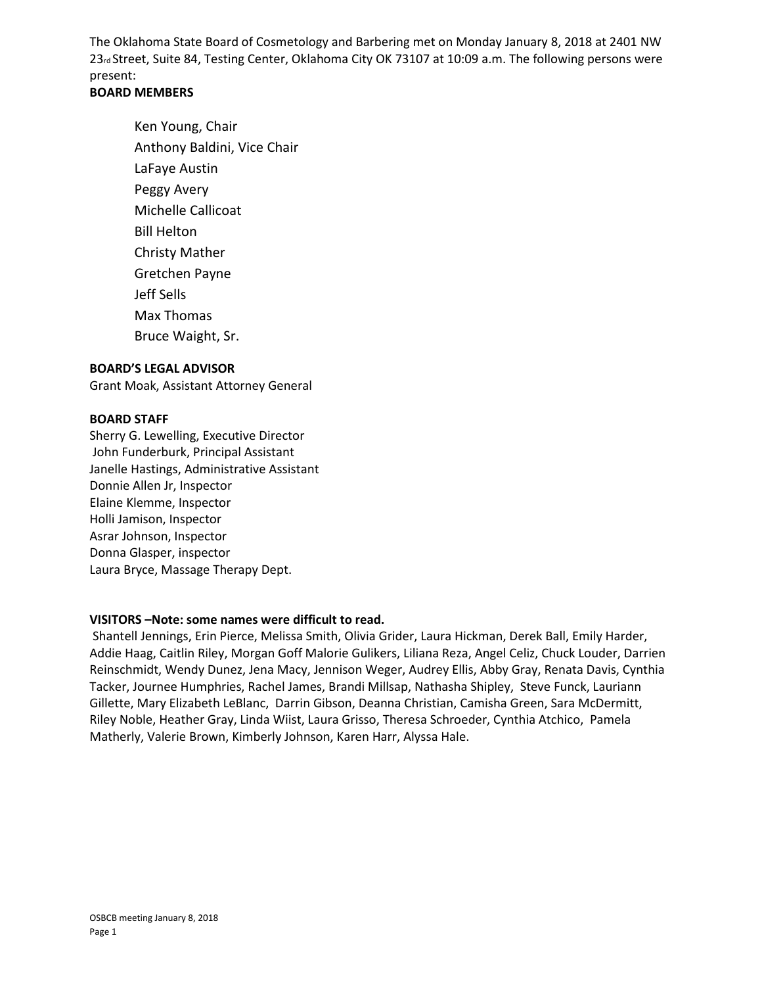The Oklahoma State Board of Cosmetology and Barbering met on Monday January 8, 2018 at 2401 NW 23rd Street, Suite 84, Testing Center, Oklahoma City OK 73107 at 10:09 a.m. The following persons were present:

## **BOARD MEMBERS**

Ken Young, Chair Anthony Baldini, Vice Chair LaFaye Austin Peggy Avery Michelle Callicoat Bill Helton Christy Mather Gretchen Payne Jeff Sells Max Thomas Bruce Waight, Sr.

#### **BOARD'S LEGAL ADVISOR**

Grant Moak, Assistant Attorney General

#### **BOARD STAFF**

Sherry G. Lewelling, Executive Director John Funderburk, Principal Assistant Janelle Hastings, Administrative Assistant Donnie Allen Jr, Inspector Elaine Klemme, Inspector Holli Jamison, Inspector Asrar Johnson, Inspector Donna Glasper, inspector Laura Bryce, Massage Therapy Dept.

### **VISITORS –Note: some names were difficult to read.**

Shantell Jennings, Erin Pierce, Melissa Smith, Olivia Grider, Laura Hickman, Derek Ball, Emily Harder, Addie Haag, Caitlin Riley, Morgan Goff Malorie Gulikers, Liliana Reza, Angel Celiz, Chuck Louder, Darrien Reinschmidt, Wendy Dunez, Jena Macy, Jennison Weger, Audrey Ellis, Abby Gray, Renata Davis, Cynthia Tacker, Journee Humphries, Rachel James, Brandi Millsap, Nathasha Shipley, Steve Funck, Lauriann Gillette, Mary Elizabeth LeBlanc, Darrin Gibson, Deanna Christian, Camisha Green, Sara McDermitt, Riley Noble, Heather Gray, Linda Wiist, Laura Grisso, Theresa Schroeder, Cynthia Atchico, Pamela Matherly, Valerie Brown, Kimberly Johnson, Karen Harr, Alyssa Hale.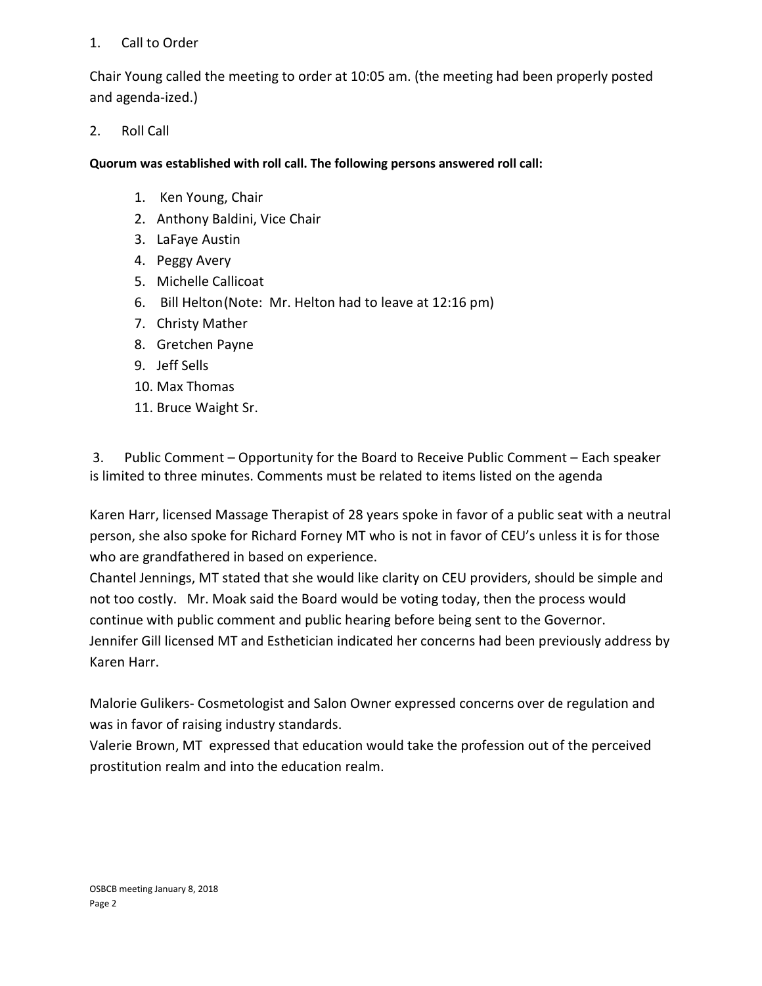# 1. Call to Order

Chair Young called the meeting to order at 10:05 am. (the meeting had been properly posted and agenda-ized.)

# 2. Roll Call

**Quorum was established with roll call. The following persons answered roll call:** 

- 1. Ken Young, Chair
- 2. Anthony Baldini, Vice Chair
- 3. LaFaye Austin
- 4. Peggy Avery
- 5. Michelle Callicoat
- 6. Bill Helton(Note: Mr. Helton had to leave at 12:16 pm)
- 7. Christy Mather
- 8. Gretchen Payne
- 9. Jeff Sells
- 10. Max Thomas
- 11. Bruce Waight Sr.

3. Public Comment – Opportunity for the Board to Receive Public Comment – Each speaker is limited to three minutes. Comments must be related to items listed on the agenda

Karen Harr, licensed Massage Therapist of 28 years spoke in favor of a public seat with a neutral person, she also spoke for Richard Forney MT who is not in favor of CEU's unless it is for those who are grandfathered in based on experience.

Chantel Jennings, MT stated that she would like clarity on CEU providers, should be simple and not too costly. Mr. Moak said the Board would be voting today, then the process would continue with public comment and public hearing before being sent to the Governor. Jennifer Gill licensed MT and Esthetician indicated her concerns had been previously address by Karen Harr.

Malorie Gulikers- Cosmetologist and Salon Owner expressed concerns over de regulation and was in favor of raising industry standards.

Valerie Brown, MT expressed that education would take the profession out of the perceived prostitution realm and into the education realm.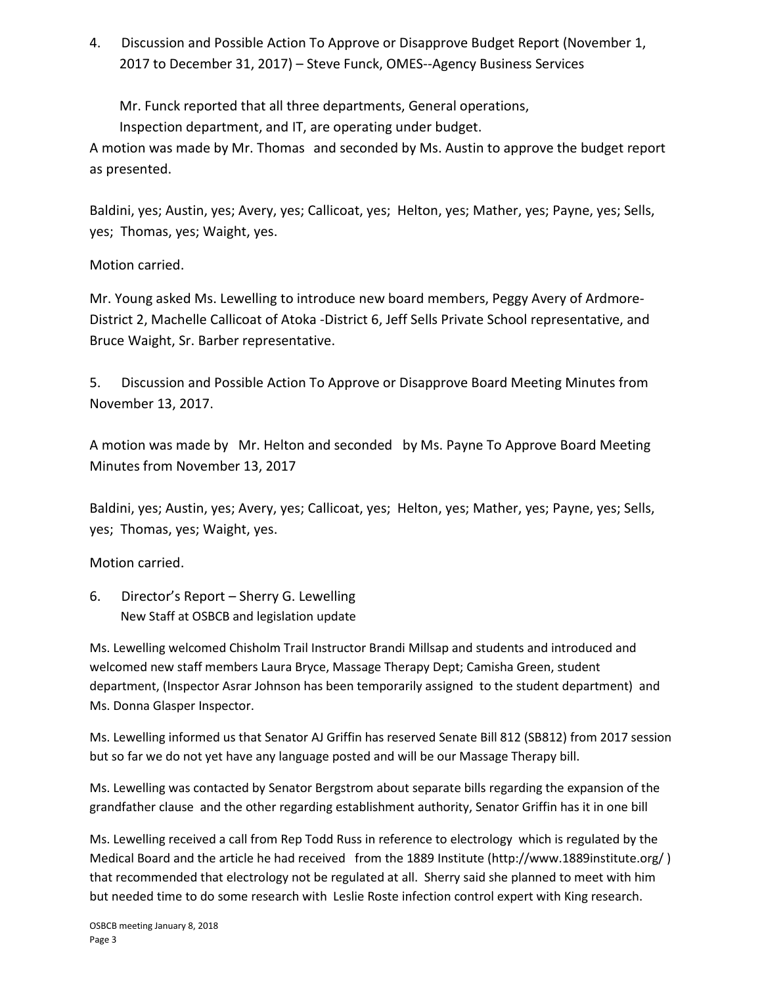4. Discussion and Possible Action To Approve or Disapprove Budget Report (November 1, 2017 to December 31, 2017) – Steve Funck, OMES--Agency Business Services

Mr. Funck reported that all three departments, General operations,

Inspection department, and IT, are operating under budget.

A motion was made by Mr. Thomas and seconded by Ms. Austin to approve the budget report as presented.

Baldini, yes; Austin, yes; Avery, yes; Callicoat, yes; Helton, yes; Mather, yes; Payne, yes; Sells, yes; Thomas, yes; Waight, yes.

Motion carried.

Mr. Young asked Ms. Lewelling to introduce new board members, Peggy Avery of Ardmore-District 2, Machelle Callicoat of Atoka -District 6, Jeff Sells Private School representative, and Bruce Waight, Sr. Barber representative.

5. Discussion and Possible Action To Approve or Disapprove Board Meeting Minutes from November 13, 2017.

A motion was made by Mr. Helton and seconded by Ms. Payne To Approve Board Meeting Minutes from November 13, 2017

Baldini, yes; Austin, yes; Avery, yes; Callicoat, yes; Helton, yes; Mather, yes; Payne, yes; Sells, yes; Thomas, yes; Waight, yes.

Motion carried.

6. Director's Report – Sherry G. Lewelling New Staff at OSBCB and legislation update

Ms. Lewelling welcomed Chisholm Trail Instructor Brandi Millsap and students and introduced and welcomed new staff members Laura Bryce, Massage Therapy Dept; Camisha Green, student department, (Inspector Asrar Johnson has been temporarily assigned to the student department) and Ms. Donna Glasper Inspector.

Ms. Lewelling informed us that Senator AJ Griffin has reserved Senate Bill 812 (SB812) from 2017 session but so far we do not yet have any language posted and will be our Massage Therapy bill.

Ms. Lewelling was contacted by Senator Bergstrom about separate bills regarding the expansion of the grandfather clause and the other regarding establishment authority, Senator Griffin has it in one bill

Ms. Lewelling received a call from Rep Todd Russ in reference to electrology which is regulated by the Medical Board and the article he had received from the 1889 Institute (http://www.1889institute.org/ ) that recommended that electrology not be regulated at all. Sherry said she planned to meet with him but needed time to do some research with Leslie Roste infection control expert with King research.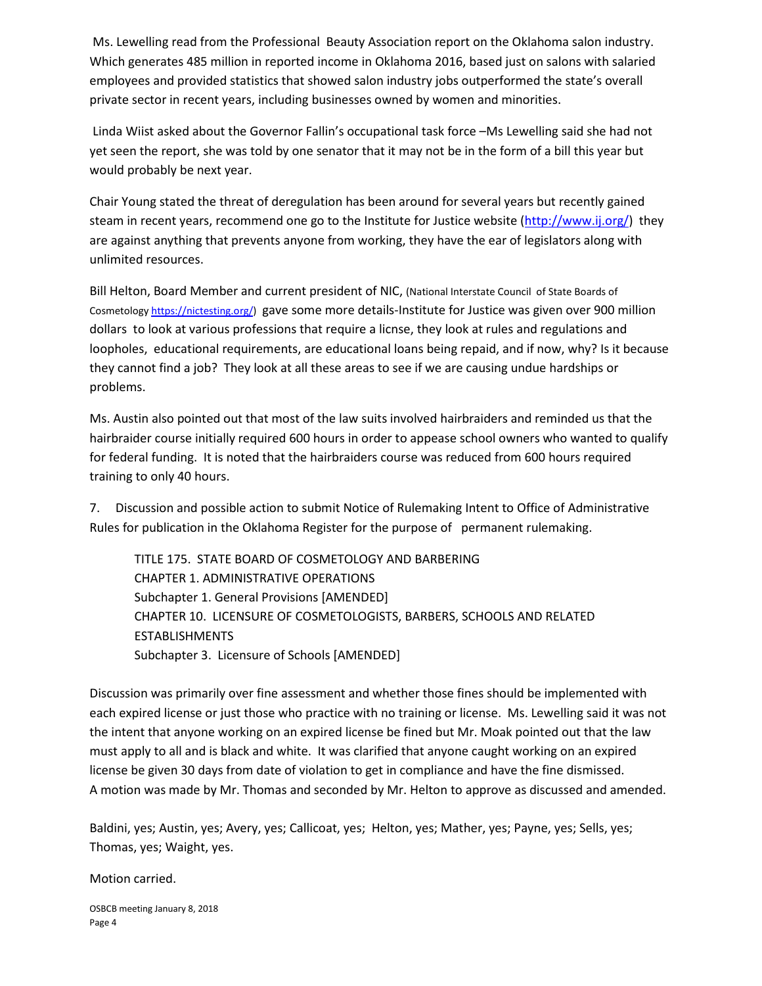Ms. Lewelling read from the Professional Beauty Association report on the Oklahoma salon industry. Which generates 485 million in reported income in Oklahoma 2016, based just on salons with salaried employees and provided statistics that showed salon industry jobs outperformed the state's overall private sector in recent years, including businesses owned by women and minorities.

Linda Wiist asked about the Governor Fallin's occupational task force –Ms Lewelling said she had not yet seen the report, she was told by one senator that it may not be in the form of a bill this year but would probably be next year.

Chair Young stated the threat of deregulation has been around for several years but recently gained steam in recent years, recommend one go to the Institute for Justice website [\(http://www.ij.org/\)](http://www.ij.org/) they are against anything that prevents anyone from working, they have the ear of legislators along with unlimited resources.

Bill Helton, Board Member and current president of NIC, (National Interstate Council of State Boards of Cosmetolog[y https://nictesting.org/\)](https://nictesting.org/) gave some more details-Institute for Justice was given over 900 million dollars to look at various professions that require a licnse, they look at rules and regulations and loopholes, educational requirements, are educational loans being repaid, and if now, why? Is it because they cannot find a job? They look at all these areas to see if we are causing undue hardships or problems.

Ms. Austin also pointed out that most of the law suits involved hairbraiders and reminded us that the hairbraider course initially required 600 hours in order to appease school owners who wanted to qualify for federal funding. It is noted that the hairbraiders course was reduced from 600 hours required training to only 40 hours.

7. Discussion and possible action to submit Notice of Rulemaking Intent to Office of Administrative Rules for publication in the Oklahoma Register for the purpose of permanent rulemaking.

TITLE 175. STATE BOARD OF COSMETOLOGY AND BARBERING CHAPTER 1. ADMINISTRATIVE OPERATIONS Subchapter 1. General Provisions [AMENDED] CHAPTER 10. LICENSURE OF COSMETOLOGISTS, BARBERS, SCHOOLS AND RELATED ESTABLISHMENTS Subchapter 3. Licensure of Schools [AMENDED]

Discussion was primarily over fine assessment and whether those fines should be implemented with each expired license or just those who practice with no training or license. Ms. Lewelling said it was not the intent that anyone working on an expired license be fined but Mr. Moak pointed out that the law must apply to all and is black and white. It was clarified that anyone caught working on an expired license be given 30 days from date of violation to get in compliance and have the fine dismissed. A motion was made by Mr. Thomas and seconded by Mr. Helton to approve as discussed and amended.

Baldini, yes; Austin, yes; Avery, yes; Callicoat, yes; Helton, yes; Mather, yes; Payne, yes; Sells, yes; Thomas, yes; Waight, yes.

Motion carried.

OSBCB meeting January 8, 2018 Page 4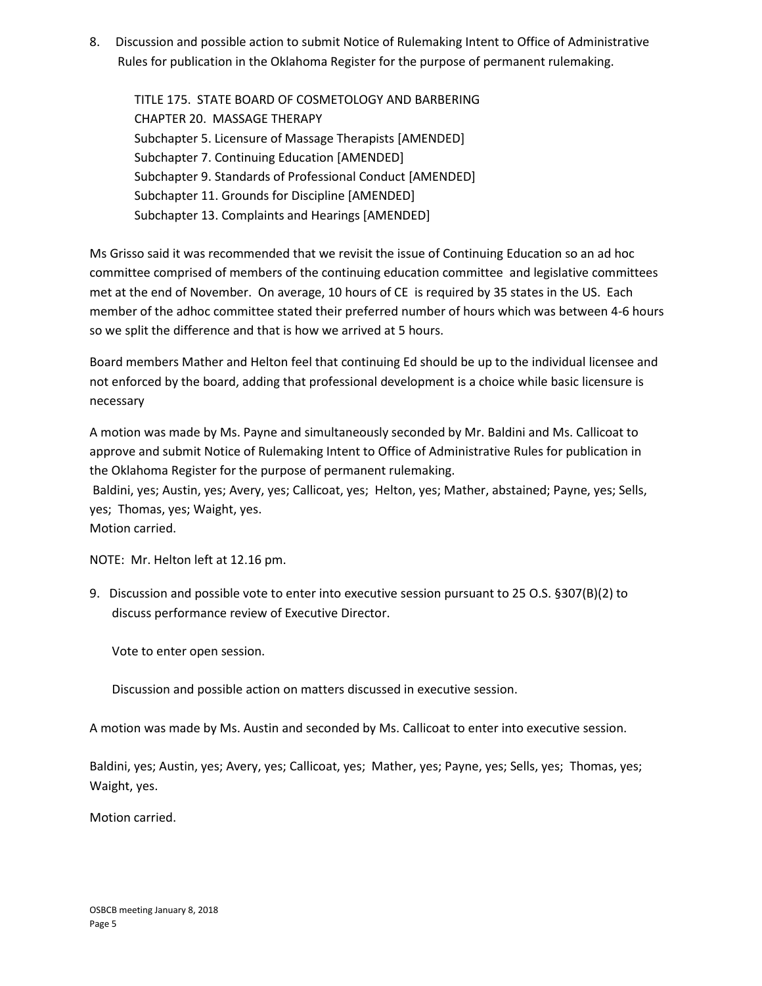8. Discussion and possible action to submit Notice of Rulemaking Intent to Office of Administrative Rules for publication in the Oklahoma Register for the purpose of permanent rulemaking.

TITLE 175. STATE BOARD OF COSMETOLOGY AND BARBERING CHAPTER 20. MASSAGE THERAPY Subchapter 5. Licensure of Massage Therapists [AMENDED] Subchapter 7. Continuing Education [AMENDED] Subchapter 9. Standards of Professional Conduct [AMENDED] Subchapter 11. Grounds for Discipline [AMENDED] Subchapter 13. Complaints and Hearings [AMENDED]

Ms Grisso said it was recommended that we revisit the issue of Continuing Education so an ad hoc committee comprised of members of the continuing education committee and legislative committees met at the end of November. On average, 10 hours of CE is required by 35 states in the US. Each member of the adhoc committee stated their preferred number of hours which was between 4-6 hours so we split the difference and that is how we arrived at 5 hours.

Board members Mather and Helton feel that continuing Ed should be up to the individual licensee and not enforced by the board, adding that professional development is a choice while basic licensure is necessary

A motion was made by Ms. Payne and simultaneously seconded by Mr. Baldini and Ms. Callicoat to approve and submit Notice of Rulemaking Intent to Office of Administrative Rules for publication in the Oklahoma Register for the purpose of permanent rulemaking.

Baldini, yes; Austin, yes; Avery, yes; Callicoat, yes; Helton, yes; Mather, abstained; Payne, yes; Sells, yes; Thomas, yes; Waight, yes.

Motion carried.

NOTE: Mr. Helton left at 12.16 pm.

9. Discussion and possible vote to enter into executive session pursuant to 25 O.S. §307(B)(2) to discuss performance review of Executive Director.

Vote to enter open session.

Discussion and possible action on matters discussed in executive session.

A motion was made by Ms. Austin and seconded by Ms. Callicoat to enter into executive session.

Baldini, yes; Austin, yes; Avery, yes; Callicoat, yes; Mather, yes; Payne, yes; Sells, yes; Thomas, yes; Waight, yes.

Motion carried.